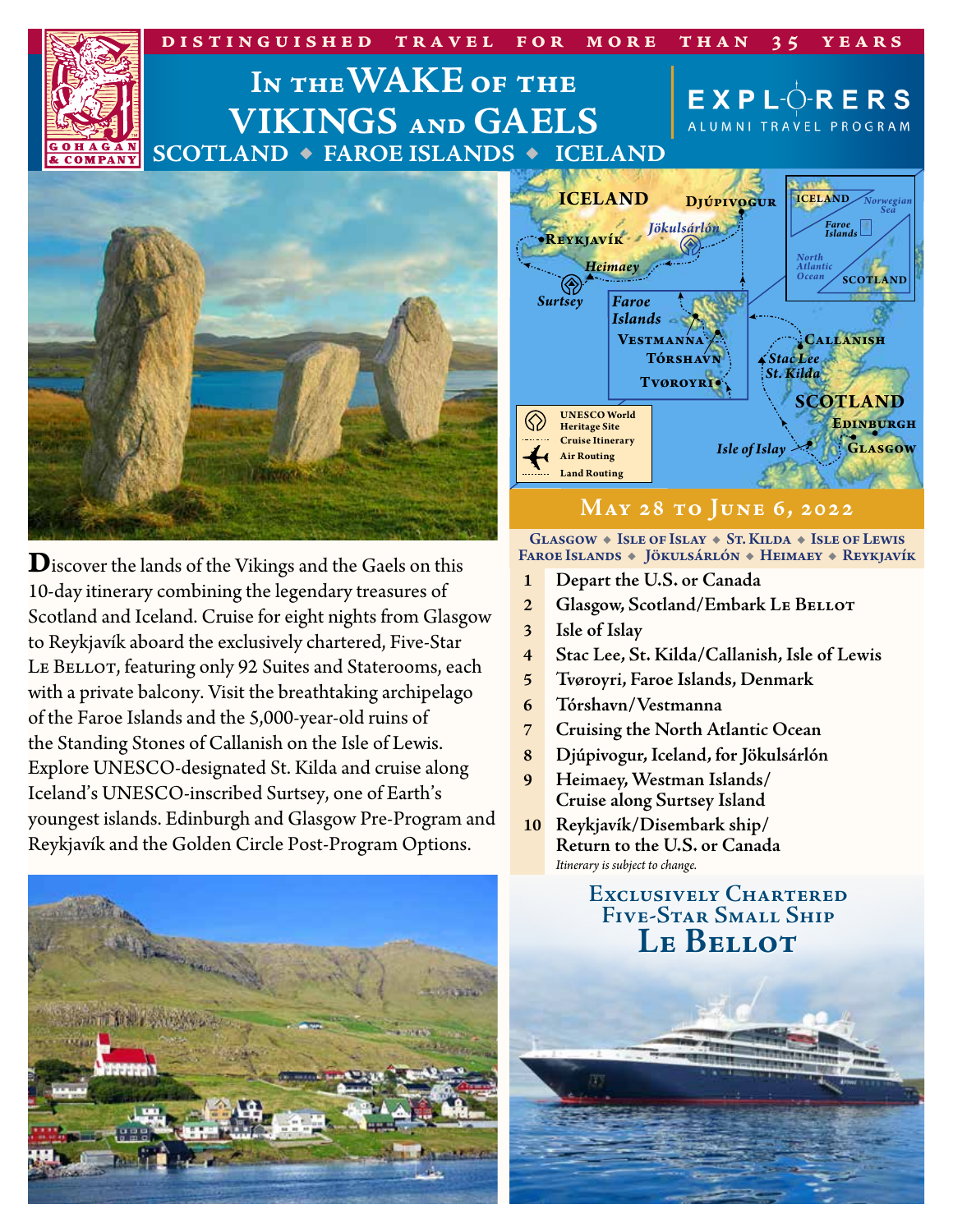

10-day itinerary combining the legendary treasures of Scotland and Iceland. Cruise for eight nights from Glasgow to Reykjavík aboard the exclusively chartered, Five-Star LE BELLOT, featuring only 92 Suites and Staterooms, each with a private balcony. Visit the breathtaking archipelago of the Faroe Islands and the 5,000-year-old ruins of the Standing Stones of Callanish on the Isle of Lewis. Explore UNESCO-designated St. Kilda and cruise along Iceland's UNESCO-inscribed Surtsey, one of Earth's youngest islands. Edinburgh and Glasgow Pre-Program and Reykjavík and the Golden Circle Post-Program Options.



Faroe Islands · Jökulsárlón · Heimaey · Reykjavík

- **1 Depart the U.S. or Canada**
- **2 Glasgow, Scotland/Embark Le Bellot**
- **3 Isle of Islay**
- **4 Stac Lee, St. Kilda/Callanish, Isle of Lewis**
- **5 Tvøroyri, Faroe Islands, Denmark**
- **6 Tórshavn/Vestmanna**
- **7 Cruising the North Atlantic Ocean**
- **8 Djúpivogur, Iceland, for Jökulsárlón**
- **9 Heimaey, Westman Islands/ Cruise along Surtsey Island**
- **10 Reykjavík/Disembark ship/ Return to the U.S. or Canada** *Itinerary is subject to change.*

### **Exclusively Chartered Five-Star Small Ship Le Bellot**